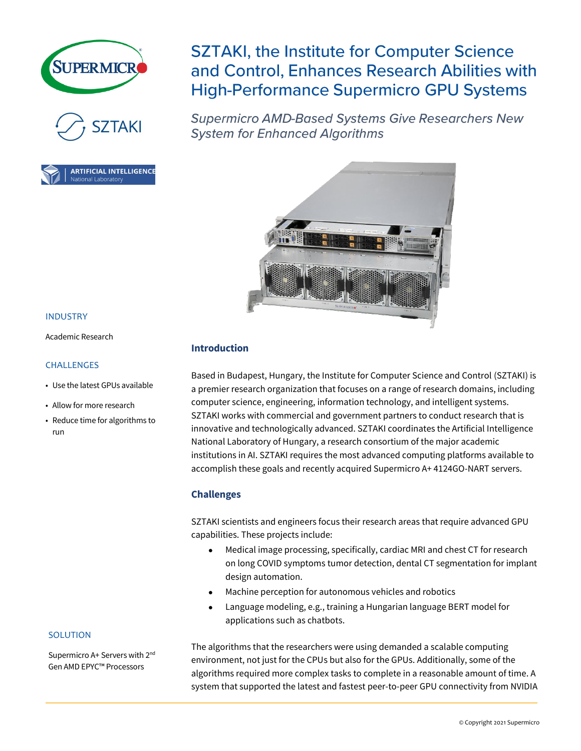





INDUSTRY

Academic Research

• Use the latest GPUs available

• Allow for more research • Reduce time for algorithms to

CHALLENGES

run

# **SZTAKI, the Institute for Computer Science** and Control, Enhances Research Abilities with **High-Performance Supermicro GPU Systems**

**Supermicro AMD-Based Systems Give Researchers New System for Enhanced Algorithms** 



# **Introduction**

Based in Budapest, Hungary, the Institute for Computer Science and Control (SZTAKI) is a premier research organization that focuses on a range of research domains, including computer science, engineering, information technology, and intelligent systems. SZTAKI works with commercial and government partners to conduct research that is innovative and technologically advanced. SZTAKI coordinates the Artificial Intelligence National Laboratory of Hungary, a research consortium of the major academic institutions in AI. SZTAKI requires the most advanced computing platforms available to accomplish these goals and recently acquired Supermicro A+ 4124GO-NART servers.

# **Challenges**

SZTAKI scientists and engineers focus their research areas that require advanced GPU capabilities. These projects include:

- Medical image processing, specifically, cardiac MRI and chest CT for research on long COVID symptoms tumor detection, dental CT segmentation for implant design automation.
- Machine perception for autonomous vehicles and robotics
- Language modeling, e.g., training a Hungarian language BERT model for applications such as chatbots.

The algorithms that the researchers were using demanded a scalable computing environment, not just for the CPUs but also for the GPUs. Additionally, some of the algorithms required more complex tasks to complete in a reasonable amount of time. A system that supported the latest and fastest peer-to-peer GPU connectivity from NVIDIA

# SOLUTION

Supermicro A+ Servers with 2<sup>nd</sup> Gen AMD EPYC™ Processors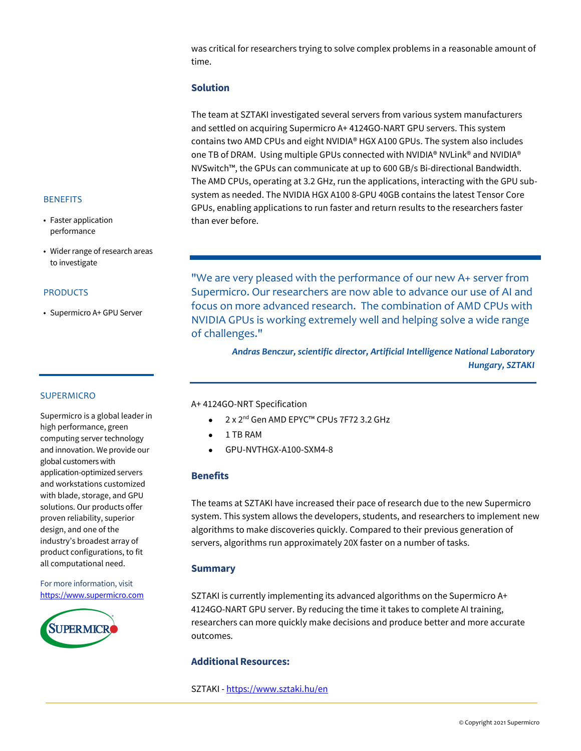was critical for researchers trying to solve complex problems in a reasonable amount of time.

# **Solution**

The team at SZTAKI investigated several servers from various system manufacturers and settled on acquiring Supermicro A+ 4124GO-NART GPU servers. This system contains two AMD CPUs and eight NVIDIA® HGX A100 GPUs. The system also includes one TB of DRAM. Using multiple GPUs connected with NVIDIA® NVLink® and NVIDIA® NVSwitch™, the GPUs can communicate at up to 600 GB/s Bi-directional Bandwidth. The AMD CPUs, operating at 3.2 GHz, run the applications, interacting with the GPU subsystem as needed. The NVIDIA HGX A100 8-GPU 40GB contains the latest Tensor Core GPUs, enabling applications to run faster and return results to the researchers faster than ever before.

#### **BENEFITS**

- Faster application performance
- Wider range of research areas to investigate

#### PRODUCTS

• Supermicro A+ GPU Server

"We are very pleased with the performance of our new A+ server from Supermicro. Our researchers are now able to advance our use of AI and focus on more advanced research. The combination of AMD CPUs with NVIDIA GPUs is working extremely well and helping solve a wide range of challenges."

> *Andras Benczur, scientific director, Artificial Intelligence National Laboratory Hungary, SZTAKI*

# SUPERMICRO

Supermicro is a global leader in high performance, green computing server technology and innovation. We provide our global customers with application-optimized servers and workstations customized with blade, storage, and GPU solutions. Our products offer proven reliability, superior design, and one of the industry's broadest array of product configurations, to fit all computational need.

For more information, visit [https://www.supermicro.com](https://www.supermicro.com/)



A+ 4124GO-NRT Specification

- 2 x 2<sup>nd</sup> Gen AMD EPYC™ CPUs 7F72 3.2 GHz
- 1 TB RAM
- GPU-NVTHGX-A100-SXM4-8

# **Benefits**

The teams at SZTAKI have increased their pace of research due to the new Supermicro system. This system allows the developers, students, and researchers to implement new algorithms to make discoveries quickly. Compared to their previous generation of servers, algorithms run approximately 20X faster on a number of tasks.

# **Summary**

SZTAKI is currently implementing its advanced algorithms on the Supermicro A+ 4124GO-NART GPU server. By reducing the time it takes to complete AI training, researchers can more quickly make decisions and produce better and more accurate outcomes.

# **Additional Resources:**

SZTAKI - <https://www.sztaki.hu/en>